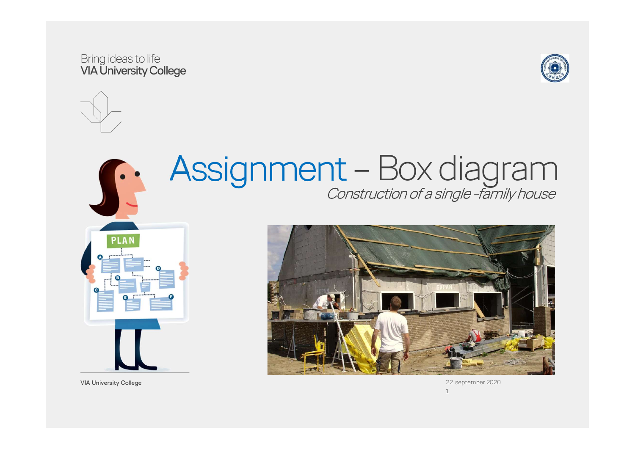#### Bring ideas to life VIA University College





# Assignment – Box diagram<br>Construction of a single-family house



**VIA University College** 



22. september 2020  $1 \qquad \qquad$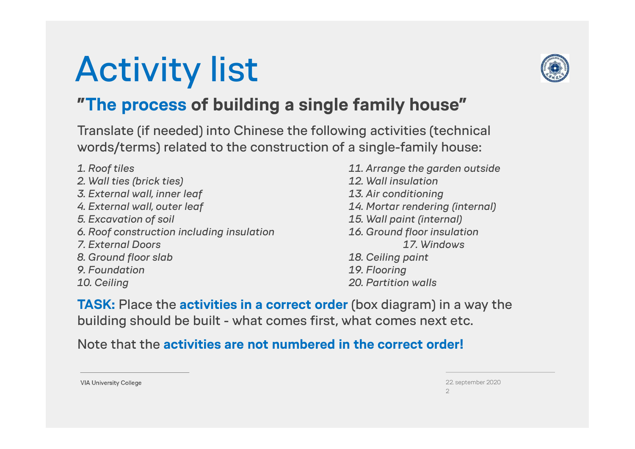## Activity list



### "The process of building a single family house"

Translate (if needed) into Chinese the following activities (technical words/terms) related to the construction of a single-family house: **The process of building a single family house"**<br> **Translate (if needed) into Chinese the following activities (technical**<br>
words/terms) related to the construction of a single-family house:<br>
1. Roof tiles<br>
2. Wall ties ( **Translate (if needed) into Chinese the following activities (technical<br>
Words/terms) related to the construction of a single-family house:<br>
1. Roof tiles (brick ties) 11. Arrange the garden outside<br>
2. Wall ties (brick ti** 

- 2. Wall ties (brick ties) 12. Wall insulation Translate (if needed) into Chinese the following activities (technical<br>
words/terms) related to the construction of a single-family house:<br>
1. Roof tiles<br>
2. Wall ties (brick ties)<br>
2. Wall insulation<br>
3. External wall, in Translate (if needed) into Chinese the following activities (technical<br>
words/terms) related to the construction of a single-family house:<br>
1. Roof tiles (brick ties) 12. Wall insulation<br>
3. External wall, inner leaf 13. A Words/terms) related to the construction of a single-family house:<br>
1. Roof tiles (the second transition including the second transition 3. External wall, inner leaf (13. Air conditioning 4. External wall, outer leaf (14. 1. Roof tiles<br>
2. Wall ties (brick ties)<br>
3. External wall, inner leaf<br>
4. External wall, outer leaf<br>
5. Excavation of soil<br>
6. Roof construction including insulation<br>
7. External Doors<br>
8. Ground floor slab<br>
9. Foundation 1. Roof tiles<br>
2. Wall ties (brick ties)<br>
3. External wall, inner leaf<br>
4. External wall, outer leaf<br>
4. External wall, outer leaf<br>
5. Excavation of soil<br>
6. Roof construction including insulation<br>
7. External Doors<br>
8. Gr 9. Foundation 20. Flooring 3. External wall, inner leaf and the set of the set of the set of the set of the set of the set of the set of the set of the set of the set of the set of the set of the set of the set of the set of the set of the set of th 5. Excavation of soil<br>
6. Roof construction including insulation<br>
7. External Doors<br>
7. External Doors<br>
8. Ground floor slab<br>
9. Foundation<br>
9. Foundation<br>
9. Foundation<br>
10. Ceiling paint<br>
10. Ceiling<br>
20. Partition walls
	-

6. Roof construction including insulation<br>
7. External Doors<br>
8. Ground floor slab<br>
9. Foundation<br>
9. Foundation<br>
10. Ceiling<br>
10. Ceiling<br>
10. Ceiling<br>
10. Ceiling<br>
10. Ceiling<br>
10. Ceiling<br>
10. Ceiling<br>
12. Place the **ac** 

Note that the activities are not numbered in the correct order!

22. september 2020 2

**VIA University College**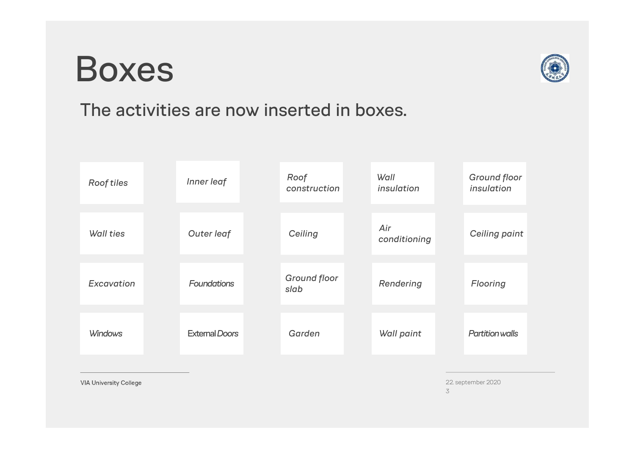### Boxes



#### The activities are now inserted in boxes.



**VIA University College** 

22. september 2020 3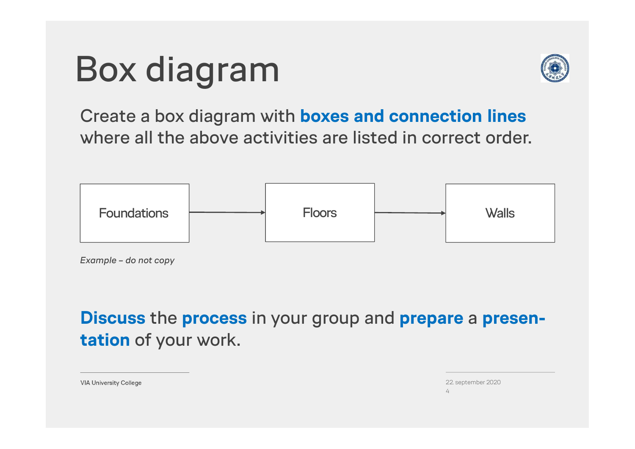## Box diagram



Create a box diagram with boxes and connection lines where all the above activities are listed in correct order.



Discuss the process in your group and prepare a presentation of your work.

| 22. september 2020 |
|--------------------|
|                    |

**VIA University College**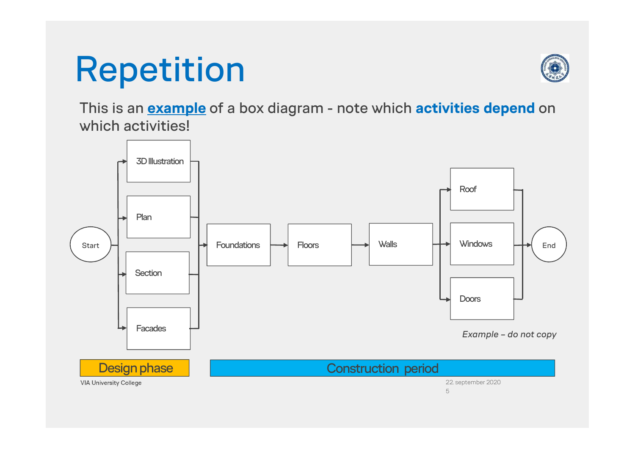### Repetition



This is an **example** of a box diagram - note which **activities depend** on which activities!

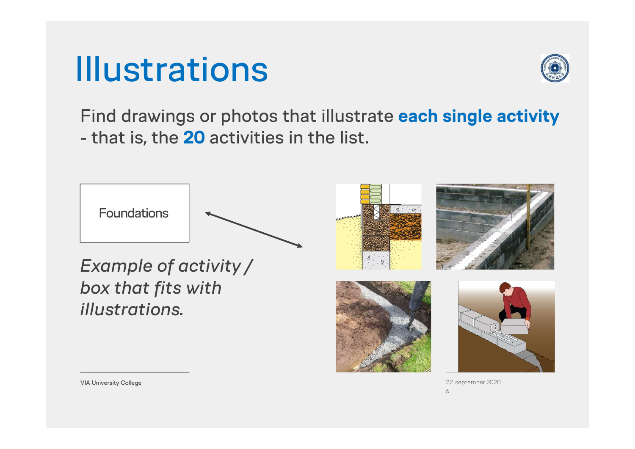



Find drawings or photos that illustrate each single activity **Illustrations**<br>Find drawings or photos that illustrate<br>- that is, the 20 activities in the list.



22. september 2020  $\epsilon$ 

**VIA University College**